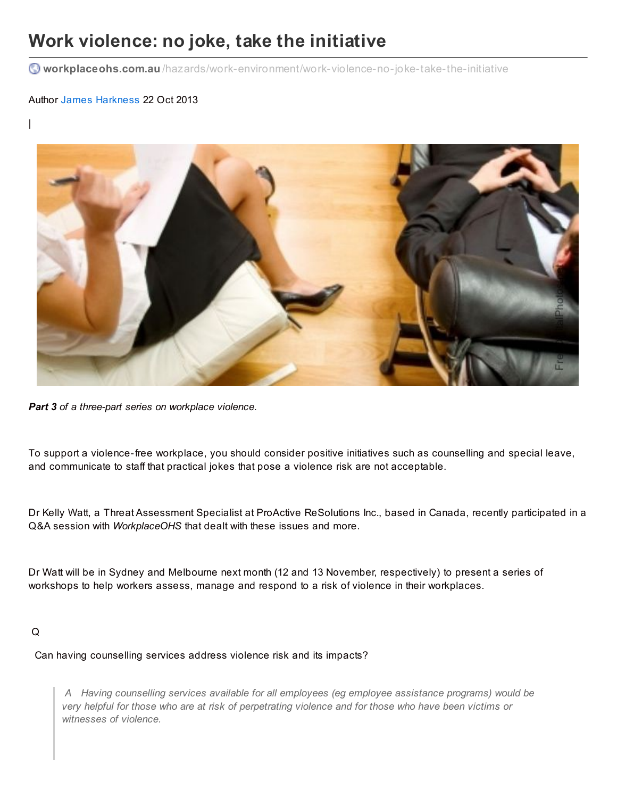# **Work violence: no joke, take the initiative**

**workplaceohs.com.au** [/hazards/work-environment/work-violence-no-joke-take-the-initiative](http://www.workplaceohs.com.au/hazards/work-environment/work-violence-no-joke-take-the-initiative)

# Author James [Harkness](http://www.workplaceohs.com.au/analystdetail.asp?ID=46) 22 Oct 2013

|



*Part 3 of a three-part series on workplace violence.*

To support a violence-free workplace, you should consider positive initiatives such as counselling and special leave, and communicate to staff that practical jokes that pose a violence risk are not acceptable.

Dr Kelly Watt, a Threat Assessment Specialist at ProActive ReSolutions Inc., based in Canada, recently participated in a Q&A session with *WorkplaceOHS* that dealt with these issues and more.

Dr Watt will be in Sydney and Melbourne next month (12 and 13 November, respectively) to present a series of workshops to help workers assess, manage and respond to a risk of violence in their workplaces.

### Q

Can having counselling services address violence risk and its impacts?

*A Having counselling services available for all employees (eg employee assistance programs) would be* very helpful for those who are at risk of perpetrating violence and for those who have been victims or *witnesses of violence.*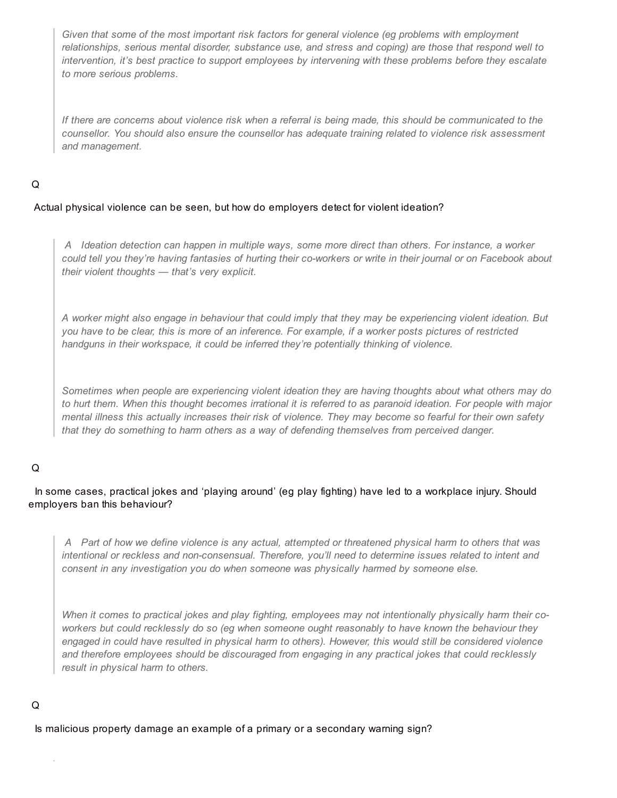*Given that some of the most important risk factors for general violence (eg problems with employment relationships, serious mental disorder, substance use, and stress and coping) are those that respond well to intervention, it's best practice to support employees by intervening with these problems before they escalate to more serious problems.*

If there are concerns about violence risk when a referral is being made, this should be communicated to the *counsellor. You should also ensure the counsellor has adequate training related to violence risk assessment and management.*

#### Q

#### Actual physical violence can be seen, but how do employers detect for violent ideation?

*A Ideation detection can happen in multiple ways, some more direct than others. For instance, a worker* could tell you they're having fantasies of hurting their co-workers or write in their journal or on Facebook about *their violent thoughts — that's very explicit.*

A worker might also engage in behaviour that could imply that they may be experiencing violent ideation. But you have to be clear, this is more of an inference. For example, if a worker posts pictures of restricted *handguns in their workspace, it could be inferred they're potentially thinking of violence.*

*Sometimes when people are experiencing violent ideation they are having thoughts about what others may do* to hurt them. When this thought becomes irrational it is referred to as paranoid ideation. For people with major mental illness this actually increases their risk of violence. They may become so fearful for their own safety *that they do something to harm others as a way of defending themselves from perceived danger.*

### Q

# In some cases, practical jokes and 'playing around' (eg play fighting) have led to a workplace injury. Should employers ban this behaviour?

A Part of how we define violence is any actual, attempted or threatened physical harm to others that was *intentional or reckless and non-consensual. Therefore, you'll need to determine issues related to intent and consent in any investigation you do when someone was physically harmed by someone else.*

When it comes to practical jokes and play fighting, employees may not intentionally physically harm their co*workers but could recklessly do so (eg when someone ought reasonably to have known the behaviour they* engaged in could have resulted in physical harm to others). However, this would still be considered violence *and therefore employees should be discouraged from engaging in any practical jokes that could recklessly result in physical harm to others.*

# Q

Is malicious property damage an example of a primary or a secondary warning sign?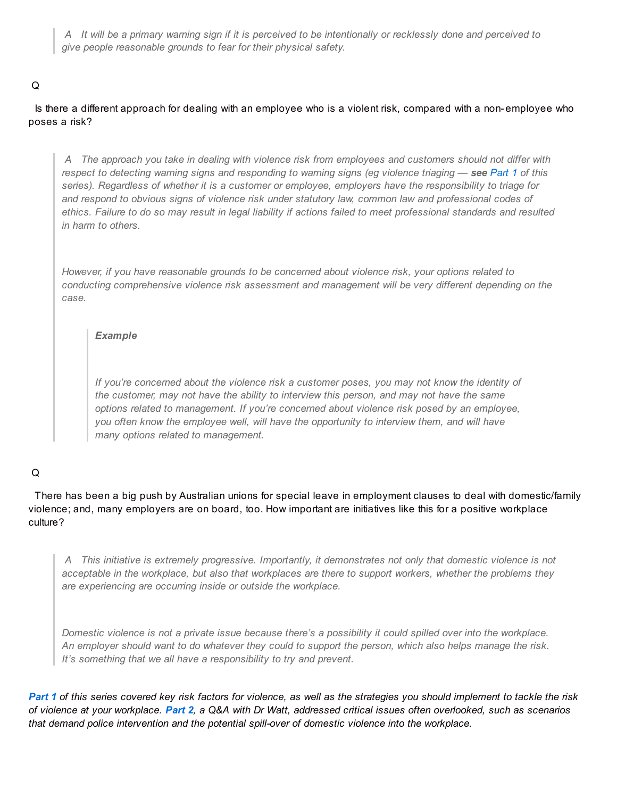A It will be a primary warning sign if it is perceived to be intentionally or recklessly done and perceived to *give people reasonable grounds to fear for their physical safety.*

# Q

Is there a different approach for dealing with an employee who is a violent risk, compared with a non-employee who poses a risk?

A The approach you take in dealing with violence risk from employees and customers should not differ with respect to detecting warning signs and responding to warning signs (eg violence triaging - see [Part](http://www.workplaceohs.com.au/hazards/work-environment/triage-needed-to-combat-workplace-violence) 1 of this series). Regardless of whether it is a customer or employee, employers have the responsibility to triage for *and respond to obvious signs of violence risk under statutory law, common law and professional codes of* ethics. Failure to do so may result in legal liability if actions failed to meet professional standards and resulted *in harm to others.*

*However, if you have reasonable grounds to be concerned about violence risk, your options related to conducting comprehensive violence risk assessment and management will be very different depending on the case.*

### *Example*

*If you're concerned about the violence risk a customer poses, you may not know the identity of the customer, may not have the ability to interview this person, and may not have the same options related to management. If you're concerned about violence risk posed by an employee, you often know the employee well, will have the opportunity to interview them, and will have many options related to management.*

# Q

There has been a big push by Australian unions for special leave in employment clauses to deal with domestic/family violence; and, many employers are on board, too. How important are initiatives like this for a positive workplace culture?

*A This initiative is extremely progressive. Importantly, it demonstrates not only that domestic violence is not* acceptable in the workplace, but also that workplaces are there to support workers, whether the problems they *are experiencing are occurring inside or outside the workplace.*

Domestic violence is not a private issue because there's a possibility it could spilled over into the workplace. An employer should want to do whatever they could to support the person, which also helps manage the risk. *It's something that we all have a responsibility to try and prevent.*

[Part](http://www.workplaceohs.com.au/hazards/work-environment/triage-needed-to-combat-workplace-violence) 1 of this series covered key risk factors for violence, as well as the strategies you should implement to tackle the risk of violence at your workplace. [Part](http://www.workplaceohs.com.au/hazards/work-environment/work-violence-dont-overlook-critical-issues) 2, a Q&A with Dr Watt, addressed critical issues often overlooked, such as scenarios *that demand police intervention and the potential spill-over of domestic violence into the workplace.*